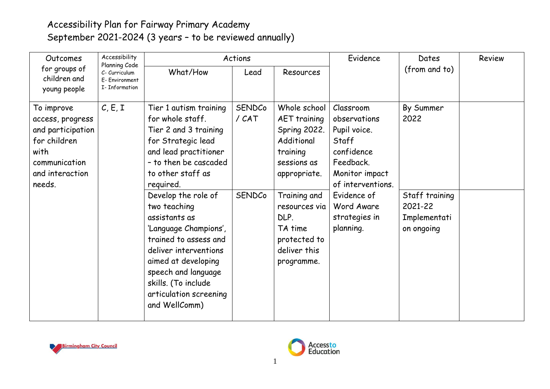## Accessibility Plan for Fairway Primary Academy September 2021-2024 (3 years – to be reviewed annually)

| Accessibility<br>Outcomes<br>Planning Code<br>for groups of<br>C- Curriculum<br>children and<br>E- Environment<br><b>I-</b> Information<br>young people |          | Actions                                                                                                                                                                                                                                                                                                                                                                                                                          |                          |                                                                                                                                                                                                                | Evidence                                                                                                                                                                        | Dates                                                                        | Review |
|---------------------------------------------------------------------------------------------------------------------------------------------------------|----------|----------------------------------------------------------------------------------------------------------------------------------------------------------------------------------------------------------------------------------------------------------------------------------------------------------------------------------------------------------------------------------------------------------------------------------|--------------------------|----------------------------------------------------------------------------------------------------------------------------------------------------------------------------------------------------------------|---------------------------------------------------------------------------------------------------------------------------------------------------------------------------------|------------------------------------------------------------------------------|--------|
|                                                                                                                                                         | What/How | Lead                                                                                                                                                                                                                                                                                                                                                                                                                             | <b>Resources</b>         |                                                                                                                                                                                                                | (from and to)                                                                                                                                                                   |                                                                              |        |
| To improve<br>access, progress<br>and participation<br>for children<br>with<br>communication<br>and interaction<br>needs.                               | C, E, I  | Tier 1 autism training<br>for whole staff.<br>Tier 2 and 3 training<br>for Strategic lead<br>and lead practitioner<br>- to then be cascaded<br>to other staff as<br>required.<br>Develop the role of<br>two teaching<br>assistants as<br>'Language Champions',<br>trained to assess and<br>deliver interventions<br>aimed at developing<br>speech and language<br>skills. (To include<br>articulation screening<br>and WellComm) | SENDCo<br>/CAT<br>SENDCo | Whole school<br><b>AET</b> training<br>Spring 2022.<br>Additional<br>training<br>sessions as<br>appropriate.<br>Training and<br>resources via<br>DLP.<br>TA time<br>protected to<br>deliver this<br>programme. | Classroom<br>observations<br>Pupil voice.<br>Staff<br>confidence<br>Feedback.<br>Monitor impact<br>of interventions.<br>Evidence of<br>Word Aware<br>strategies in<br>planning. | By Summer<br>2022<br>Staff training<br>2021-22<br>Implementati<br>on ongoing |        |



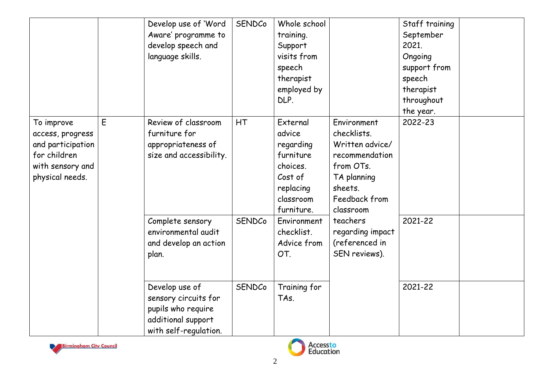|                                                                                                            |   | Develop use of 'Word<br>Aware' programme to<br>develop speech and<br>language skills.                       | <b>SENDCo</b> | Whole school<br>training.<br>Support<br>visits from<br>speech<br>therapist<br>employed by<br>DLP.           |                                                                                                                                      | Staff training<br>September<br>2021.<br>Ongoing<br>support from<br>speech<br>therapist<br>throughout<br>the year. |  |
|------------------------------------------------------------------------------------------------------------|---|-------------------------------------------------------------------------------------------------------------|---------------|-------------------------------------------------------------------------------------------------------------|--------------------------------------------------------------------------------------------------------------------------------------|-------------------------------------------------------------------------------------------------------------------|--|
| To improve<br>access, progress<br>and participation<br>for children<br>with sensory and<br>physical needs. | E | Review of classroom<br>furniture for<br>appropriateness of<br>size and accessibility.                       | HT            | External<br>advice<br>regarding<br>furniture<br>choices.<br>Cost of<br>replacing<br>classroom<br>furniture. | Environment<br>checklists.<br>Written advice/<br>recommendation<br>from OTs.<br>TA planning<br>sheets.<br>Feedback from<br>classroom | 2022-23                                                                                                           |  |
|                                                                                                            |   | Complete sensory<br>environmental audit<br>and develop an action<br>plan.                                   | SENDCo        | Environment<br>checklist.<br>Advice from<br>OT.                                                             | teachers<br>regarding impact<br>(referenced in<br>SEN reviews).                                                                      | 2021-22                                                                                                           |  |
|                                                                                                            |   | Develop use of<br>sensory circuits for<br>pupils who require<br>additional support<br>with self-regulation. | SENDCo        | Training for<br>TAs.                                                                                        |                                                                                                                                      | 2021-22                                                                                                           |  |



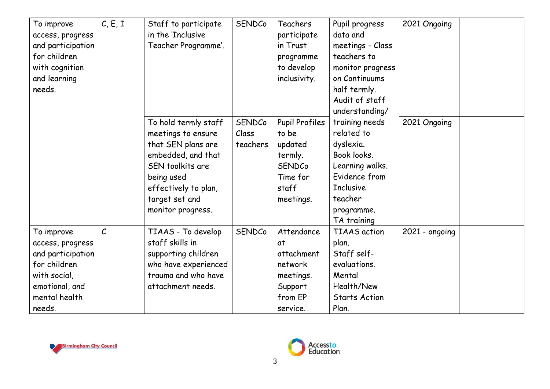| To improve<br>access, progress<br>and participation<br>for children<br>with cognition<br>and learning<br>needs.                  | C, E, I           | Staff to participate<br>in the 'Inclusive<br>Teacher Programme'.                                                                                                                        | <b>SENDCo</b>                      | Teachers<br>participate<br>in Trust<br>programme<br>to develop<br>inclusivity.                   | Pupil progress<br>data and<br>meetings - Class<br>teachers to<br>monitor progress<br>on Continuums<br>half termly.<br>Audit of staff<br>understanding/   | 2021 Ongoing     |
|----------------------------------------------------------------------------------------------------------------------------------|-------------------|-----------------------------------------------------------------------------------------------------------------------------------------------------------------------------------------|------------------------------------|--------------------------------------------------------------------------------------------------|----------------------------------------------------------------------------------------------------------------------------------------------------------|------------------|
|                                                                                                                                  |                   | To hold termly staff<br>meetings to ensure<br>that SEN plans are<br>embedded, and that<br>SEN toolkits are<br>being used<br>effectively to plan,<br>target set and<br>monitor progress. | <b>SENDCo</b><br>Class<br>teachers | Pupil Profiles<br>to be<br>updated<br>termly.<br><b>SENDCo</b><br>Time for<br>staff<br>meetings. | training needs<br>related to<br>dyslexia.<br>Book looks.<br>Learning walks.<br>Evidence from<br><b>Inclusive</b><br>teacher<br>programme.<br>TA training | 2021 Ongoing     |
| To improve<br>access, progress<br>and participation<br>for children<br>with social,<br>emotional, and<br>mental health<br>needs. | $\mathcal{C}_{0}$ | TIAAS - To develop<br>staff skills in<br>supporting children<br>who have experienced<br>trauma and who have<br>attachment needs.                                                        | <b>SENDCo</b>                      | Attendance<br>at<br>attachment<br>network<br>meetings.<br>Support<br>from EP<br>service.         | <b>TIAAS</b> action<br>plan.<br>Staff self-<br>evaluations.<br>Mental<br>Health/New<br><b>Starts Action</b><br>Plan.                                     | $2021$ - ongoing |



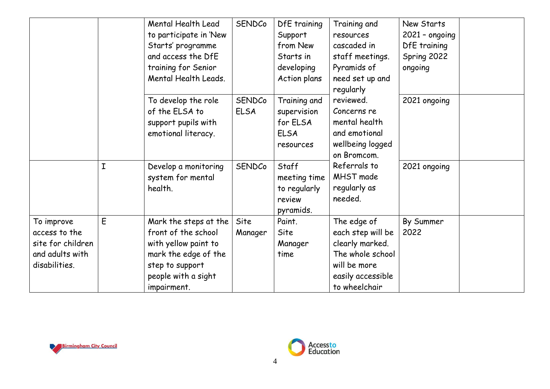|                                                                                      |   | Mental Health Lead<br>to participate in 'New<br>Starts' programme<br>and access the DfE<br>training for Senior<br>Mental Health Leads.                | SENDCo                       | DfE training<br>Support<br>from New<br>Starts in<br>developing<br>Action plans | Training and<br>resources<br>cascaded in<br>staff meetings.<br>Pyramids of<br>need set up and                                 | New Starts<br>$2021 - ongoing$<br>DfE training<br>Spring 2022<br>ongoing |
|--------------------------------------------------------------------------------------|---|-------------------------------------------------------------------------------------------------------------------------------------------------------|------------------------------|--------------------------------------------------------------------------------|-------------------------------------------------------------------------------------------------------------------------------|--------------------------------------------------------------------------|
|                                                                                      |   | To develop the role<br>of the ELSA to<br>support pupils with<br>emotional literacy.                                                                   | <b>SENDCo</b><br><b>ELSA</b> | Training and<br>supervision<br>for ELSA<br><b>ELSA</b><br>resources            | regularly<br>reviewed.<br>Concerns re<br>mental health<br>and emotional<br>wellbeing logged                                   | 2021 ongoing                                                             |
|                                                                                      | I | Develop a monitoring<br>system for mental<br>health.                                                                                                  | SENDCo                       | Staff<br>meeting time<br>to regularly<br>review<br>pyramids.                   | on Bromcom.<br>Referrals to<br>MHST made<br>regularly as<br>needed.                                                           | 2021 ongoing                                                             |
| To improve<br>access to the<br>site for children<br>and adults with<br>disabilities. | E | Mark the steps at the<br>front of the school<br>with yellow paint to<br>mark the edge of the<br>step to support<br>people with a sight<br>impairment. | Site<br>Manager              | Paint.<br>Site<br>Manager<br>time                                              | The edge of<br>each step will be<br>clearly marked.<br>The whole school<br>will be more<br>easily accessible<br>to wheelchair | By Summer<br>2022                                                        |